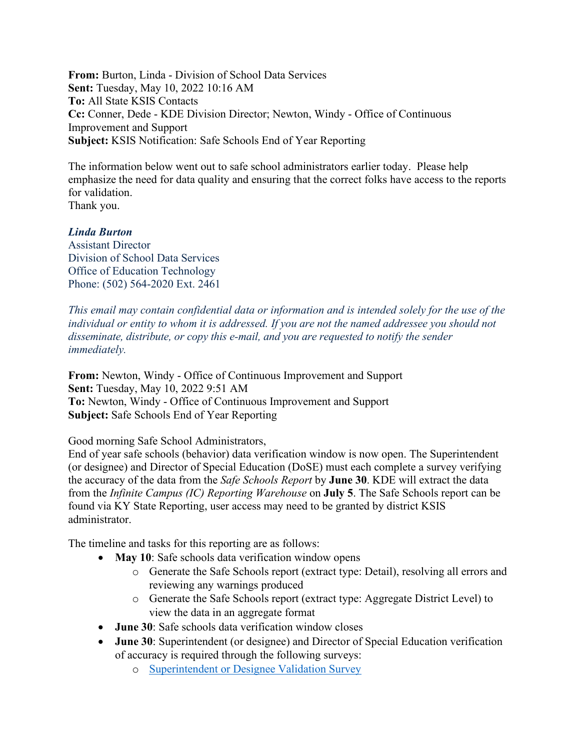**From:** Burton, Linda - Division of School Data Services **Sent:** Tuesday, May 10, 2022 10:16 AM **To:** All State KSIS Contacts **Cc:** Conner, Dede - KDE Division Director; Newton, Windy - Office of Continuous Improvement and Support **Subject:** KSIS Notification: Safe Schools End of Year Reporting

The information below went out to safe school administrators earlier today. Please help emphasize the need for data quality and ensuring that the correct folks have access to the reports for validation. Thank you.

## *Linda Burton*

Assistant Director Division of School Data Services Office of Education Technology Phone: (502) 564-2020 Ext. 2461

*This email may contain confidential data or information and is intended solely for the use of the individual or entity to whom it is addressed. If you are not the named addressee you should not disseminate, distribute, or copy this e-mail, and you are requested to notify the sender immediately.*

**From:** Newton, Windy - Office of Continuous Improvement and Support **Sent:** Tuesday, May 10, 2022 9:51 AM **To:** Newton, Windy - Office of Continuous Improvement and Support **Subject:** Safe Schools End of Year Reporting

## Good morning Safe School Administrators,

End of year safe schools (behavior) data verification window is now open. The Superintendent (or designee) and Director of Special Education (DoSE) must each complete a survey verifying the accuracy of the data from the *Safe Schools Report* by **June 30**. KDE will extract the data from the *Infinite Campus (IC) Reporting Warehouse* on **July 5**. The Safe Schools report can be found via KY State Reporting, user access may need to be granted by district KSIS administrator.

The timeline and tasks for this reporting are as follows:

- May 10: Safe schools data verification window opens
	- o Generate the Safe Schools report (extract type: Detail), resolving all errors and reviewing any warnings produced
	- o Generate the Safe Schools report (extract type: Aggregate District Level) to view the data in an aggregate format
- **June 30**: Safe schools data verification window closes
- **June 30**: Superintendent (or designee) and Director of Special Education verification of accuracy is required through the following surveys:
	- o [Superintendent or Designee Validation Survey](https://www.surveymonkey.com/r/YJ82V3K)